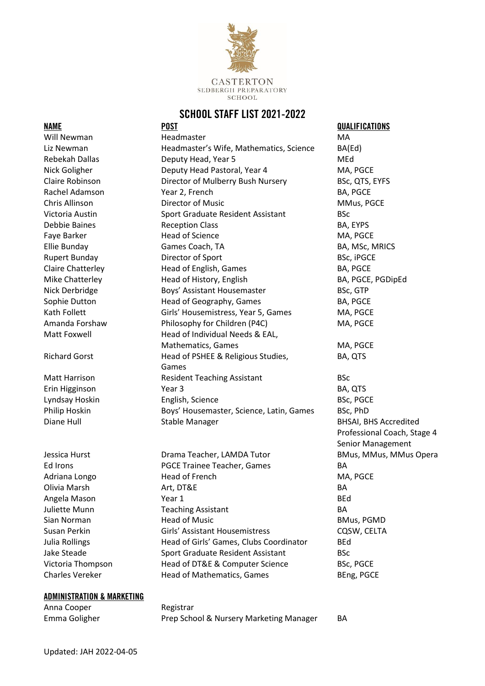

# **SCHOOL STAFF LIST 2021-2022**

### **ADMINISTRATION & MARKETING**

Anna Cooper Registrar Emma Goligher **Prep School & Nursery Marketing Manager** BA

Will Newman **Headmaster** Headmaster MA Liz Newman Headmaster's Wife, Mathematics, Science BA(Ed) Rebekah Dallas Deputy Head, Year 5 MEd Nick Goligher **Deputy Head Pastoral, Year 4** MA, PGCE Claire Robinson **Director of Mulberry Bush Nursery** BSc, QTS, EYFS Rachel Adamson **BA, PGCE Property** Year 2, French **BA, PGCE BA**, PGCE Chris Allinson Director of Music MMus, PGCE Victoria Austin Sport Graduate Resident Assistant BSc Debbie Baines **BA, EYPS** BA, EYPS Faye Barker **MA, PGCE** Head of Science **MA, PGCE** Ellie Bunday **Games Coach, TA** BA, MSc, MRICS Rupert Bunday **Director of Sport** BSC, iPGCE Claire Chatterley **Example 2** Head of English, Games **BA, PGCE** Mike Chatterley **Head of History, English BA, PGCE, PGDipEd** BA, PGCE, PGDipEd Nick Derbridge Boys' Assistant Housemaster BSc, GTP Sophie Dutton **Head of Geography, Games** BA, PGCE Kath Follett **Girls' Housemistress, Year 5, Games** MA, PGCE Amanda Forshaw **Philosophy for Children (P4C)** MA, PGCE Matt Foxwell **Head of Individual Needs & EAL**, Mathematics, Games MA, PGCE Richard Gorst **Head of PSHEE & Religious Studies,** BA, QTS Games Matt Harrison **Resident Teaching Assistant** BSc Erin Higginson Year 3 BA, QTS Lyndsay Hoskin English, Science BSc, PGCE Philip Hoskin Boys' Housemaster, Science, Latin, Games BSc, PhD

Jessica Hurst **Drama Teacher, LAMDA Tutor** BMus, MMus, MMus Opera Ed Irons **PGCE Trainee Teacher, Games** BA Adriana Longo **Head of French** MA, PGCE Olivia Marsh Art, DT&E BA Angela Mason **Markov Year 1** and Year 1 and 1 and 1 and 1 and 1 and 1 and 1 and 1 and 1 and 1 and 1 and 1 and 1 and 1 and 1 and 1 and 1 and 1 and 1 and 1 and 1 and 1 and 1 and 1 and 1 and 1 and 1 and 1 and 1 and 1 and 1 an Juliette Munn Teaching Assistant BA Sian Norman **Simulation Head of Music BMus, PGMD** BMus, PGMD Susan Perkin **Girls' Assistant Housemistress** CQSW, CELTA Julia Rollings Head of Girls' Games, Clubs Coordinator BEd Jake Steade Sport Graduate Resident Assistant BSc Victoria Thompson Head of DT&E & Computer Science BSc, PGCE Charles Vereker **Head of Mathematics, Games** BEng, PGCE

**NAME POST QUALIFICATIONS** Diane Hull **Stable Manager** BHSAI, BHS Accredited Professional Coach, Stage 4 Senior Management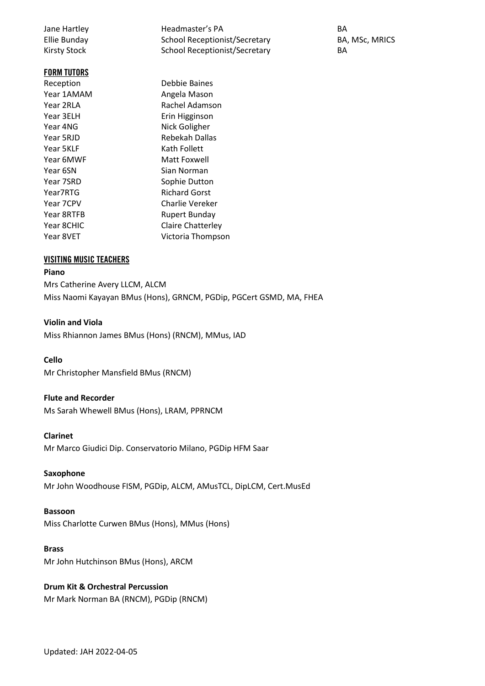Jane Hartley **Headmaster's PA** BA Ellie Bunday **School Receptionist/Secretary** BA, MSc, MRICS Kirsty Stock School Receptionist/Secretary BA **FORM TUTORS**  Reception Debbie Baines Year 1AMAM Angela Mason Year 2RLA Rachel Adamson Year 3ELH **Example 26 Fin Higginson** Year 4NG Nick Goligher Year 5RJD Rebekah Dallas Year 5KLF Kath Follett Year 6MWF Matt Foxwell Year 6SN Sian Norman Year 7SRD Sophie Dutton Year7RTG Richard Gorst Year 7CPV Charlie Vereker Year 8RTFB Rupert Bunday Year 8CHIC Claire Chatterley Year 8VET Victoria Thompson

### **VISITING MUSIC TEACHERS**

### **Piano**

Mrs Catherine Avery LLCM, ALCM Miss Naomi Kayayan BMus (Hons), GRNCM, PGDip, PGCert GSMD, MA, FHEA

### **Violin and Viola**

Miss Rhiannon James BMus (Hons) (RNCM), MMus, IAD

#### **Cello**

Mr Christopher Mansfield BMus (RNCM)

### **Flute and Recorder**

Ms Sarah Whewell BMus (Hons), LRAM, PPRNCM

#### **Clarinet**

Mr Marco Giudici Dip. Conservatorio Milano, PGDip HFM Saar

#### **Saxophone**

Mr John Woodhouse FISM, PGDip, ALCM, AMusTCL, DipLCM, Cert.MusEd

#### **Bassoon**

Miss Charlotte Curwen BMus (Hons), MMus (Hons)

### **Brass**

Mr John Hutchinson BMus (Hons), ARCM

## **Drum Kit & Orchestral Percussion**

Mr Mark Norman BA (RNCM), PGDip (RNCM)

Updated: JAH 2022-04-05